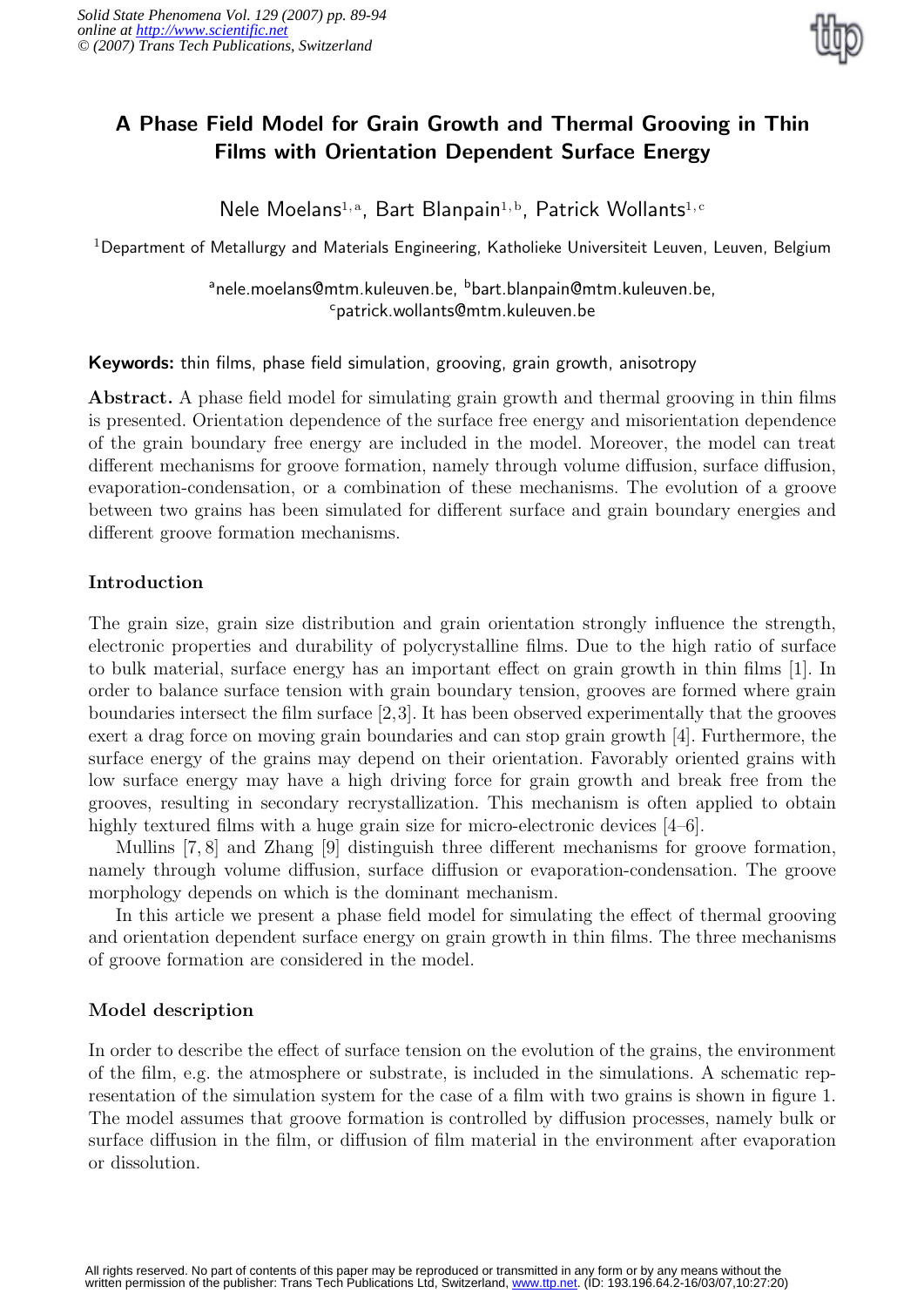

# A Phase Field Model for Grain Growth and Thermal Grooving in Thin Films with Orientation Dependent Surface Energy

Nele Moelans<sup>1, a</sup>, Bart Blanpain<sup>1, b</sup>, Patrick Wollants<sup>1, c</sup>

<sup>1</sup> Department of Metallurgy and Materials Engineering, Katholieke Universiteit Leuven, Leuven, Belgium

anele.moelans@mtm.kuleuven.be, bbart.blanpain@mtm.kuleuven.be, <sup>c</sup>patrick.wollants@mtm.kuleuven.be

Keywords: thin films, phase field simulation, grooving, grain growth, anisotropy

Abstract. A phase field model for simulating grain growth and thermal grooving in thin films is presented. Orientation dependence of the surface free energy and misorientation dependence of the grain boundary free energy are included in the model. Moreover, the model can treat different mechanisms for groove formation, namely through volume diffusion, surface diffusion, evaporation-condensation, or a combination of these mechanisms. The evolution of a groove between two grains has been simulated for different surface and grain boundary energies and different groove formation mechanisms.

# Introduction

The grain size, grain size distribution and grain orientation strongly influence the strength, electronic properties and durability of polycrystalline films. Due to the high ratio of surface to bulk material, surface energy has an important effect on grain growth in thin films [1]. In order to balance surface tension with grain boundary tension, grooves are formed where grain boundaries intersect the film surface [2,3]. It has been observed experimentally that the grooves exert a drag force on moving grain boundaries and can stop grain growth [4]. Furthermore, the surface energy of the grains may depend on their orientation. Favorably oriented grains with low surface energy may have a high driving force for grain growth and break free from the grooves, resulting in secondary recrystallization. This mechanism is often applied to obtain highly textured films with a huge grain size for micro-electronic devices [4–6].

Mullins [7, 8] and Zhang [9] distinguish three different mechanisms for groove formation, namely through volume diffusion, surface diffusion or evaporation-condensation. The groove morphology depends on which is the dominant mechanism.

In this article we present a phase field model for simulating the effect of thermal grooving and orientation dependent surface energy on grain growth in thin films. The three mechanisms of groove formation are considered in the model.

# Model description

In order to describe the effect of surface tension on the evolution of the grains, the environment of the film, e.g. the atmosphere or substrate, is included in the simulations. A schematic representation of the simulation system for the case of a film with two grains is shown in figure 1. The model assumes that groove formation is controlled by diffusion processes, namely bulk or surface diffusion in the film, or diffusion of film material in the environment after evaporation or dissolution.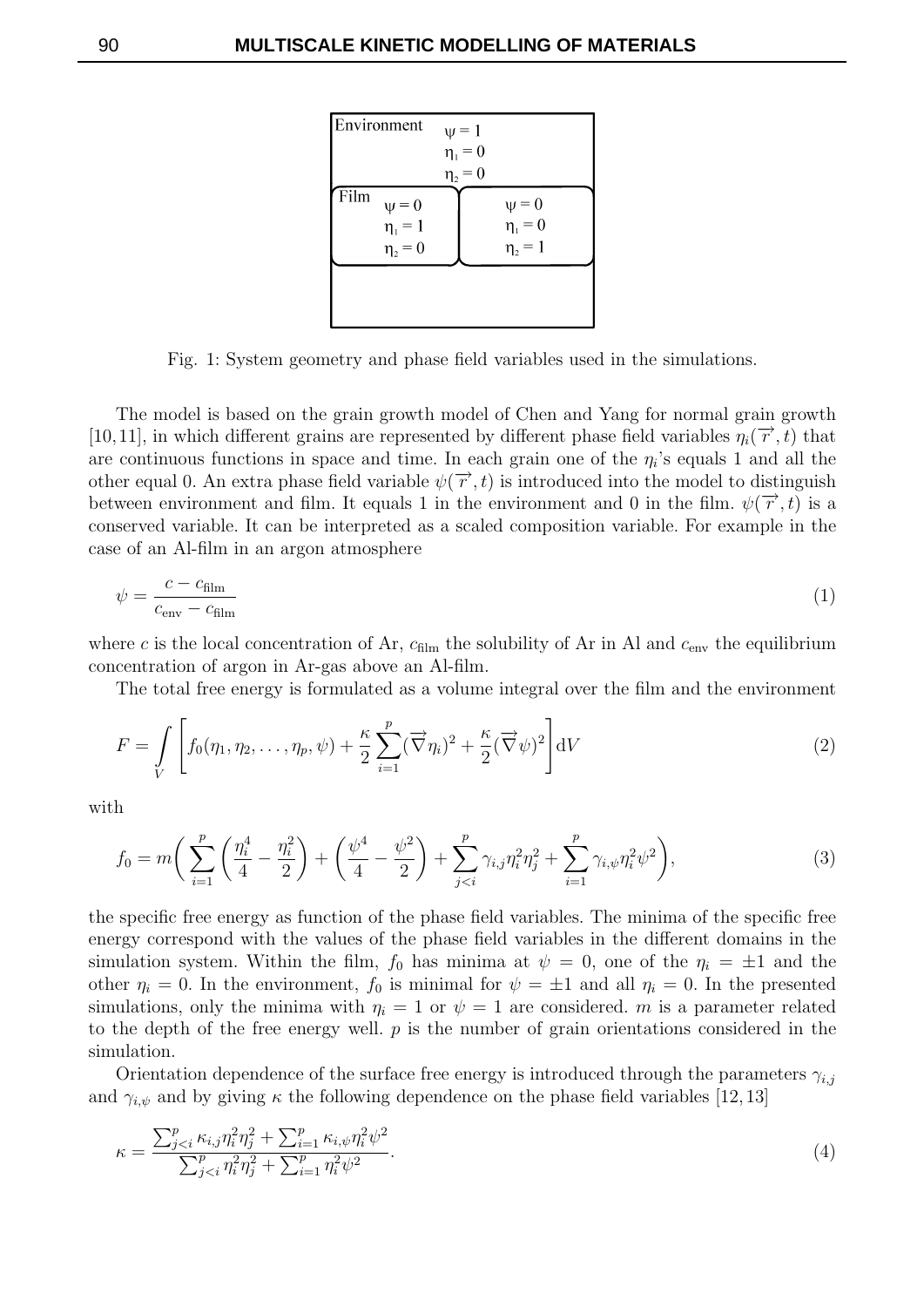| Environment        | $\Psi = 1$                      |              |
|--------------------|---------------------------------|--------------|
|                    | $\eta_1 = 0$                    |              |
|                    | $\eta_{\scriptscriptstyle 2}=0$ |              |
| Film<br>$\Psi = 0$ |                                 | $\Psi = 0$   |
| $\eta_1 = 1$       |                                 | $\eta_1 = 0$ |
| $\eta_2 = 0$       |                                 | $\eta_2 = 1$ |
|                    |                                 |              |
|                    |                                 |              |
|                    |                                 |              |

Fig. 1: System geometry and phase field variables used in the simulations.

The model is based on the grain growth model of Chen and Yang for normal grain growth [10,11], in which different grains are represented by different phase field variables  $\eta_i(\vec{r},t)$  that are continuous functions in space and time. In each grain one of the  $\eta_i$ 's equals 1 and all the other equal 0. An extra phase field variable  $\psi(\vec{r},t)$  is introduced into the model to distinguish between environment and film. It equals 1 in the environment and 0 in the film.  $\psi(\vec{r},t)$  is a conserved variable. It can be interpreted as a scaled composition variable. For example in the case of an Al-film in an argon atmosphere

$$
\psi = \frac{c - c_{\text{film}}}{c_{\text{env}} - c_{\text{film}}}
$$
\n(1)

where c is the local concentration of Ar,  $c_{\text{film}}$  the solubility of Ar in Al and  $c_{\text{env}}$  the equilibrium concentration of argon in Ar-gas above an Al-film.

The total free energy is formulated as a volume integral over the film and the environment

$$
F = \int\limits_V \left[ f_0(\eta_1, \eta_2, \dots, \eta_p, \psi) + \frac{\kappa}{2} \sum_{i=1}^p (\overrightarrow{\nabla} \eta_i)^2 + \frac{\kappa}{2} (\overrightarrow{\nabla} \psi)^2 \right] dV \tag{2}
$$

with

$$
f_0 = m\left(\sum_{i=1}^p \left(\frac{\eta_i^4}{4} - \frac{\eta_i^2}{2}\right) + \left(\frac{\psi^4}{4} - \frac{\psi^2}{2}\right) + \sum_{j
$$

the specific free energy as function of the phase field variables. The minima of the specific free energy correspond with the values of the phase field variables in the different domains in the simulation system. Within the film,  $f_0$  has minima at  $\psi = 0$ , one of the  $\eta_i = \pm 1$  and the other  $\eta_i = 0$ . In the environment,  $f_0$  is minimal for  $\psi = \pm 1$  and all  $\eta_i = 0$ . In the presented simulations, only the minima with  $\eta_i = 1$  or  $\psi = 1$  are considered. m is a parameter related to the depth of the free energy well.  $p$  is the number of grain orientations considered in the simulation.

Orientation dependence of the surface free energy is introduced through the parameters  $\gamma_{i,j}$ and  $\gamma_{i,\psi}$  and by giving  $\kappa$  the following dependence on the phase field variables [12,13]

$$
\kappa = \frac{\sum_{j\n(4)
$$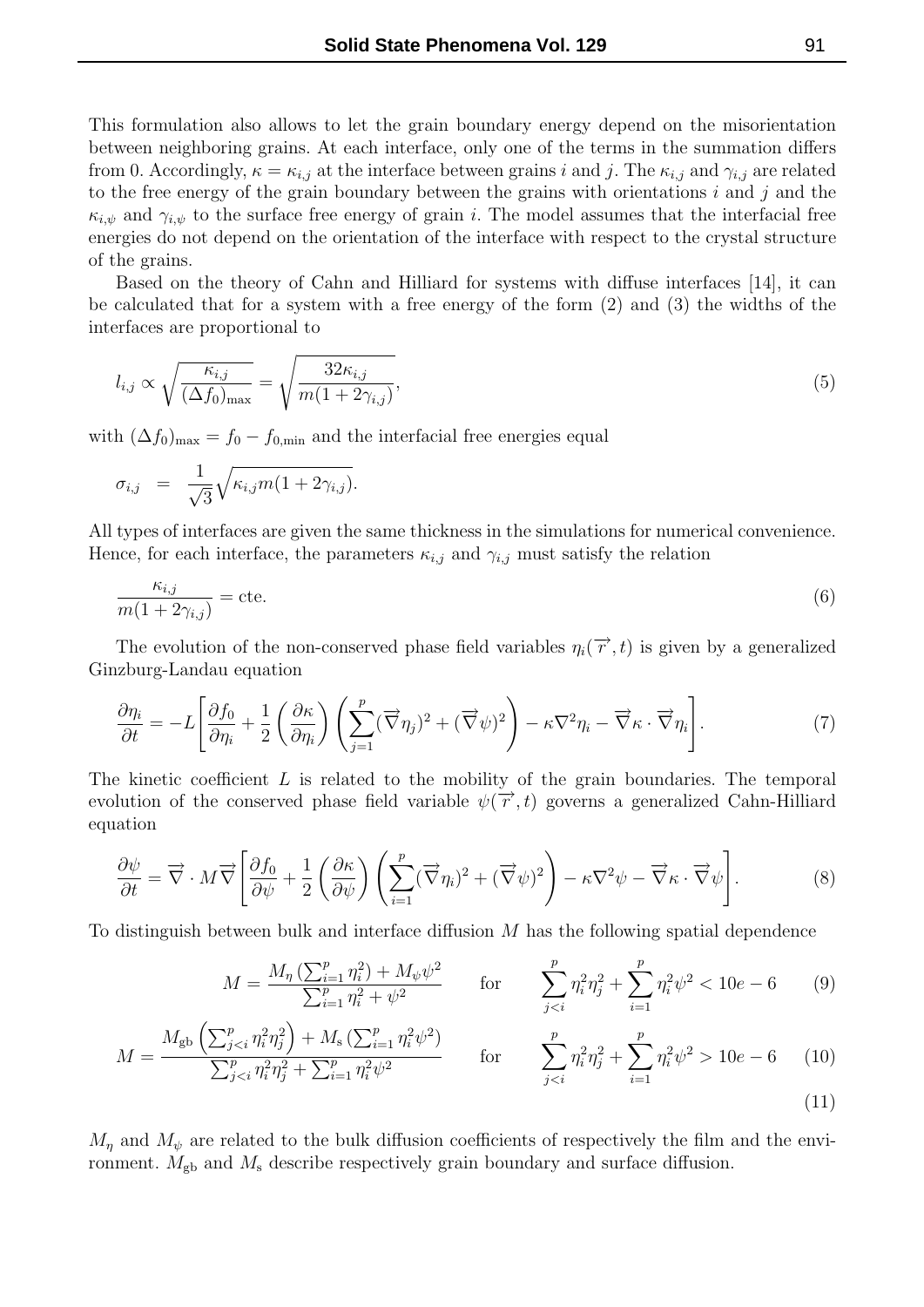This formulation also allows to let the grain boundary energy depend on the misorientation between neighboring grains. At each interface, only one of the terms in the summation differs from 0. Accordingly,  $\kappa = \kappa_{i,j}$  at the interface between grains i and j. The  $\kappa_{i,j}$  and  $\gamma_{i,j}$  are related to the free energy of the grain boundary between the grains with orientations  $i$  and  $j$  and the  $\kappa_{i,\psi}$  and  $\gamma_{i,\psi}$  to the surface free energy of grain i. The model assumes that the interfacial free energies do not depend on the orientation of the interface with respect to the crystal structure of the grains.

Based on the theory of Cahn and Hilliard for systems with diffuse interfaces [14], it can be calculated that for a system with a free energy of the form (2) and (3) the widths of the interfaces are proportional to

$$
l_{i,j} \propto \sqrt{\frac{\kappa_{i,j}}{(\Delta f_0)_{\text{max}}}} = \sqrt{\frac{32\kappa_{i,j}}{m(1+2\gamma_{i,j})}},\tag{5}
$$

with  $(\Delta f_0)_{\text{max}} = f_0 - f_{0,\text{min}}$  and the interfacial free energies equal

$$
\sigma_{i,j} = \frac{1}{\sqrt{3}} \sqrt{\kappa_{i,j} m (1 + 2 \gamma_{i,j})}.
$$

All types of interfaces are given the same thickness in the simulations for numerical convenience. Hence, for each interface, the parameters  $\kappa_{i,j}$  and  $\gamma_{i,j}$  must satisfy the relation

$$
\frac{\kappa_{i,j}}{m(1+2\gamma_{i,j})} = \text{cte.}\tag{6}
$$

The evolution of the non-conserved phase field variables  $\eta_i(\vec{r},t)$  is given by a generalized Ginzburg-Landau equation

$$
\frac{\partial \eta_i}{\partial t} = -L \left[ \frac{\partial f_0}{\partial \eta_i} + \frac{1}{2} \left( \frac{\partial \kappa}{\partial \eta_i} \right) \left( \sum_{j=1}^p (\overrightarrow{\nabla} \eta_j)^2 + (\overrightarrow{\nabla} \psi)^2 \right) - \kappa \nabla^2 \eta_i - \overrightarrow{\nabla} \kappa \cdot \overrightarrow{\nabla} \eta_i \right]. \tag{7}
$$

The kinetic coefficient  $L$  is related to the mobility of the grain boundaries. The temporal evolution of the conserved phase field variable  $\psi(\vec{r},t)$  governs a generalized Cahn-Hilliard equation

$$
\frac{\partial \psi}{\partial t} = \overrightarrow{\nabla} \cdot M \overrightarrow{\nabla} \left[ \frac{\partial f_0}{\partial \psi} + \frac{1}{2} \left( \frac{\partial \kappa}{\partial \psi} \right) \left( \sum_{i=1}^p (\overrightarrow{\nabla} \eta_i)^2 + (\overrightarrow{\nabla} \psi)^2 \right) - \kappa \nabla^2 \psi - \overrightarrow{\nabla} \kappa \cdot \overrightarrow{\nabla} \psi \right]. \tag{8}
$$

To distinguish between bulk and interface diffusion  $M$  has the following spatial dependence

$$
M = \frac{M_{\eta} \left(\sum_{i=1}^{p} \eta_{i}^{2}\right) + M_{\psi} \psi^{2}}{\sum_{i=1}^{p} \eta_{i}^{2} + \psi^{2}} \quad \text{for} \quad \sum_{j
$$

$$
M = \frac{M_{\rm gb} \left( \sum_{j < i}^p \eta_i^2 \eta_j^2 \right) + M_{\rm s} \left( \sum_{i=1}^p \eta_i^2 \psi^2 \right)}{\sum_{j < i}^p \eta_j^2 \eta_j^2 + \sum_{i=1}^p \eta_i^2 \psi^2} \qquad \text{for} \qquad \sum_{j < i}^p \eta_j^2 \eta_j^2 + \sum_{i=1}^p \eta_i^2 \psi^2 > 10e - 6 \qquad (10)
$$
\n
$$
\tag{11}
$$

 $M_{\eta}$  and  $M_{\psi}$  are related to the bulk diffusion coefficients of respectively the film and the environment.  $M_{\rm gb}$  and  $M_{\rm s}$  describe respectively grain boundary and surface diffusion.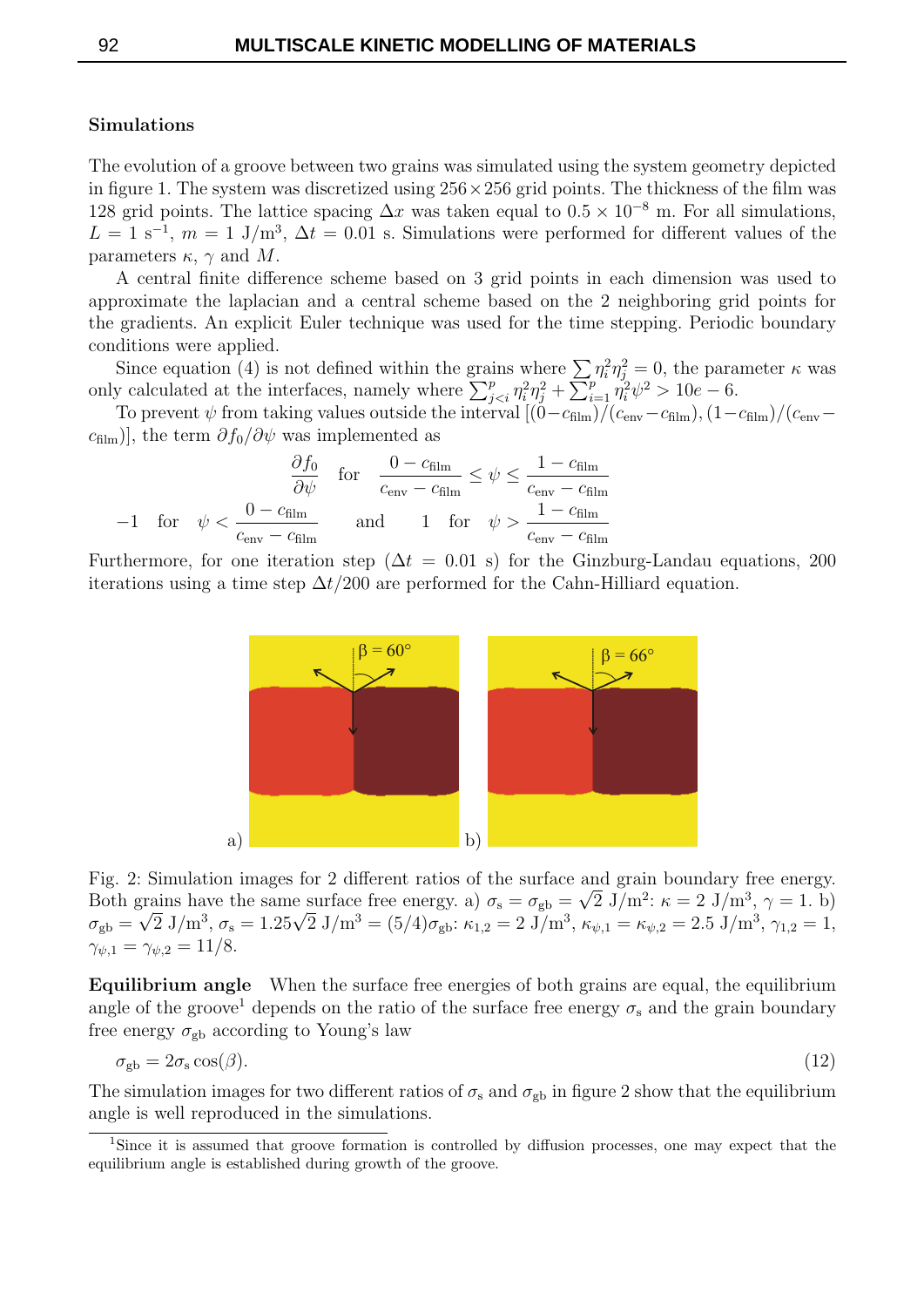#### Simulations

The evolution of a groove between two grains was simulated using the system geometry depicted in figure 1. The system was discretized using  $256 \times 256$  grid points. The thickness of the film was 128 grid points. The lattice spacing  $\Delta x$  was taken equal to  $0.5 \times 10^{-8}$  m. For all simulations,  $L = 1$  s<sup>-1</sup>,  $m = 1$  J/m<sup>3</sup>,  $\Delta t = 0.01$  s. Simulations were performed for different values of the parameters  $\kappa$ ,  $\gamma$  and M.

A central finite difference scheme based on 3 grid points in each dimension was used to approximate the laplacian and a central scheme based on the 2 neighboring grid points for the gradients. An explicit Euler technique was used for the time stepping. Periodic boundary conditions were applied.

Since equation (4) is not defined within the grains where  $\sum_{i} \eta_i^2 \eta_i^2 = 0$ , the parameter  $\kappa$  was only calculated at the interfaces, namely where  $\sum_{j 10e - 6$ .

To prevent  $\psi$  from taking values outside the interval  $[(0-c_{\text{film}})/(c_{\text{env}}-c_{\text{film}}), (1-c_{\text{film}})/(c_{\text{env}}-c_{\text{film}})]$  $c_{\text{film}}$ ), the term  $\partial f_0/\partial \psi$  was implemented as

$$
\frac{\partial f_0}{\partial \psi} \quad \text{for} \quad \frac{0 - c_{\text{film}}}{c_{\text{env}} - c_{\text{film}}} \le \psi \le \frac{1 - c_{\text{film}}}{c_{\text{env}} - c_{\text{film}}}
$$
  
-1 for  $\psi < \frac{0 - c_{\text{film}}}{c_{\text{env}} - c_{\text{film}}}$  and 1 for  $\psi > \frac{1 - c_{\text{film}}}{c_{\text{env}} - c_{\text{film}}}$ 

Furthermore, for one iteration step ( $\Delta t = 0.01$  s) for the Ginzburg-Landau equations, 200 iterations using a time step  $\Delta t/200$  are performed for the Cahn-Hilliard equation.



Fig. 2: Simulation images for 2 different ratios of the surface and grain boundary free energy. Both grains have the same surface free energy. a)  $\sigma_s = \sigma_{gb} = \sqrt{2} J/m^2$ :  $\kappa = 2 J/m^3$ ,  $\gamma = 1$ . b)  $\sigma_{\text{gb}} = \sqrt{2} \text{ J/m}^3$ ,  $\sigma_s = 1.25\sqrt{2} \text{ J/m}^3 = (5/4)\sigma_{\text{gb}}$ :  $\kappa_{1,2} = 2 \text{ J/m}^3$ ,  $\kappa_{\psi,1} = \kappa_{\psi,2} = 2.5 \text{ J/m}^3$ ,  $\gamma_{1,2} = 1$ ,  $\gamma_{\psi,1} = \gamma_{\psi,2} = 11/8.$ 

Equilibrium angle When the surface free energies of both grains are equal, the equilibrium angle of the groove<sup>1</sup> depends on the ratio of the surface free energy  $\sigma_s$  and the grain boundary free energy  $\sigma_{\text{gb}}$  according to Young's law

$$
\sigma_{\text{gb}} = 2\sigma_{\text{s}}\cos(\beta). \tag{12}
$$

The simulation images for two different ratios of  $\sigma_s$  and  $\sigma_{gb}$  in figure 2 show that the equilibrium angle is well reproduced in the simulations.

<sup>1</sup>Since it is assumed that groove formation is controlled by diffusion processes, one may expect that the equilibrium angle is established during growth of the groove.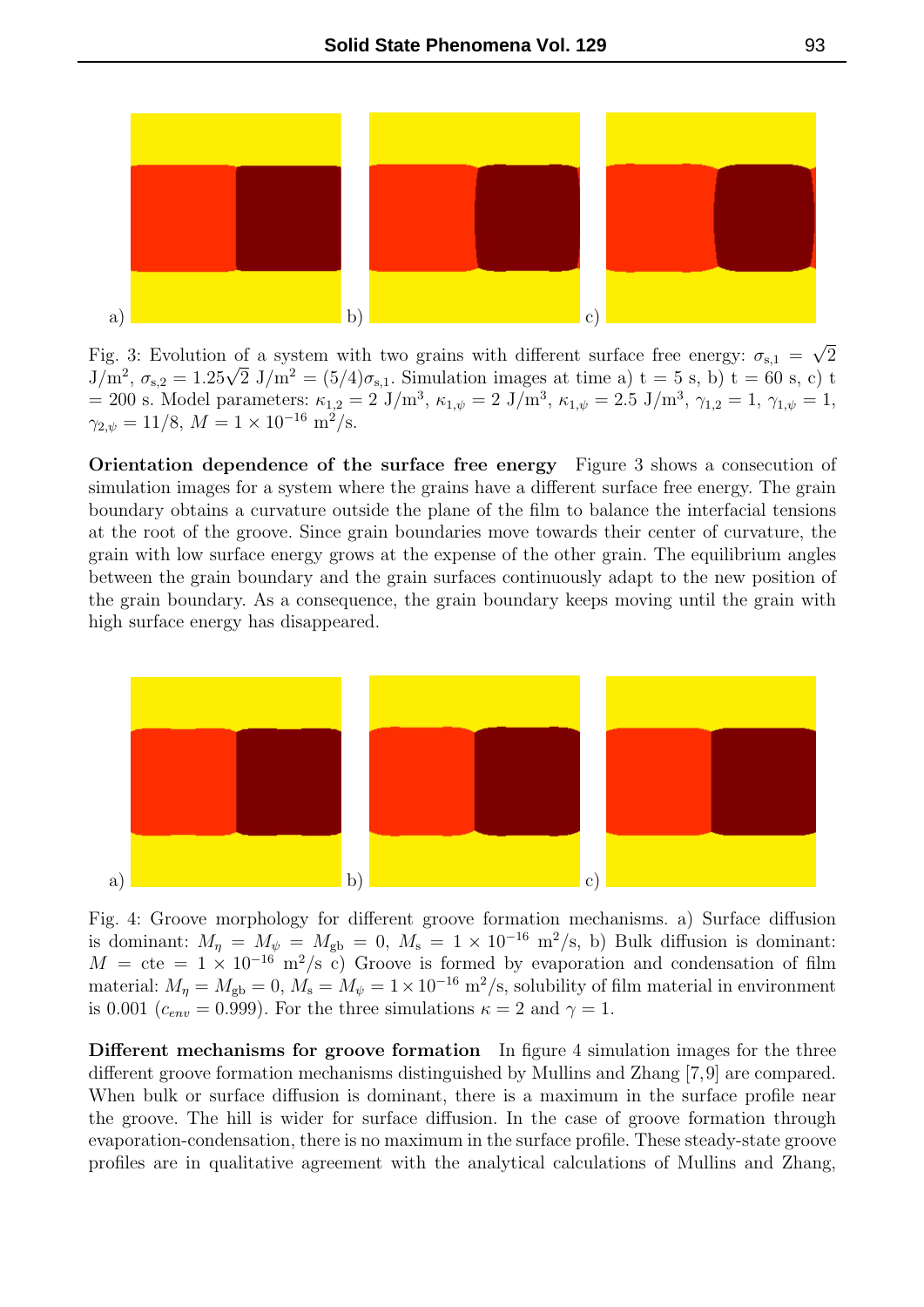

Fig. 3: Evolution of a system with two grains with different surface free energy:  $\sigma_{s,1} = \sqrt{2}$  $J/m^2$ ,  $\sigma_{s,2} = 1.25\sqrt{2} J/m^2 = (5/4)\sigma_{s,1}$ . Simulation images at time a) t = 5 s, b) t = 60 s, c) t = 200 s. Model parameters:  $\kappa_{1,2} = 2 \text{ J/m}^3$ ,  $\kappa_{1,\psi} = 2 \text{ J/m}^3$ ,  $\kappa_{1,\psi} = 2.5 \text{ J/m}^3$ ,  $\gamma_{1,2} = 1$ ,  $\gamma_{1,\psi} = 1$ ,  $\gamma_{2,\psi} = 11/8, M = 1 \times 10^{-16} \text{ m}^2/\text{s}.$ 

Orientation dependence of the surface free energy Figure 3 shows a consecution of simulation images for a system where the grains have a different surface free energy. The grain boundary obtains a curvature outside the plane of the film to balance the interfacial tensions at the root of the groove. Since grain boundaries move towards their center of curvature, the grain with low surface energy grows at the expense of the other grain. The equilibrium angles between the grain boundary and the grain surfaces continuously adapt to the new position of the grain boundary. As a consequence, the grain boundary keeps moving until the grain with high surface energy has disappeared.



Fig. 4: Groove morphology for different groove formation mechanisms. a) Surface diffusion is dominant:  $M_n = M_\psi = M_{\rm sb} = 0$ ,  $M_{\rm s} = 1 \times 10^{-16}$  m<sup>2</sup>/s, b) Bulk diffusion is dominant:  $M =$  cte = 1 × 10<sup>-16</sup> m<sup>2</sup>/s c) Groove is formed by evaporation and condensation of film material:  $M_n = M_{gb} = 0$ ,  $M_s = M_\psi = 1 \times 10^{-16}$  m<sup>2</sup>/s, solubility of film material in environment is 0.001 ( $c_{env} = 0.999$ ). For the three simulations  $\kappa = 2$  and  $\gamma = 1$ .

Different mechanisms for groove formation In figure 4 simulation images for the three different groove formation mechanisms distinguished by Mullins and Zhang [7,9] are compared. When bulk or surface diffusion is dominant, there is a maximum in the surface profile near the groove. The hill is wider for surface diffusion. In the case of groove formation through evaporation-condensation, there is no maximum in the surface profile. These steady-state groove profiles are in qualitative agreement with the analytical calculations of Mullins and Zhang,